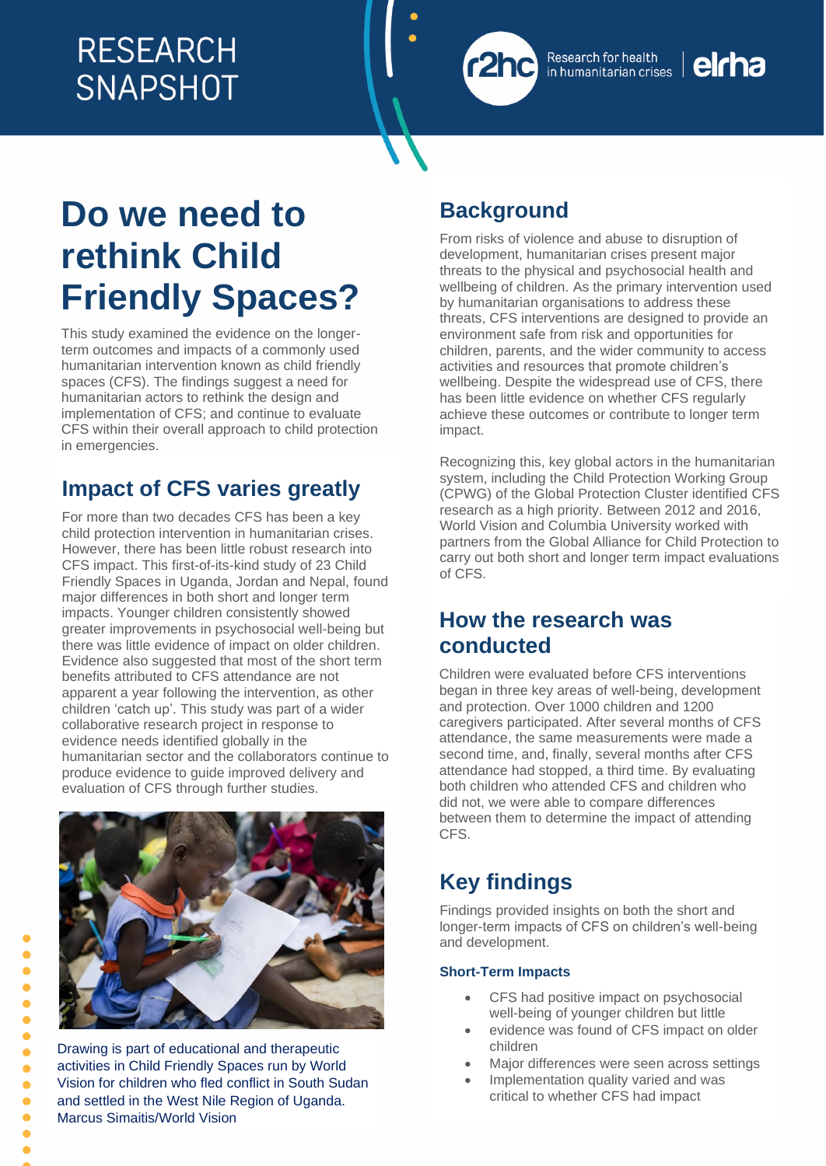

elcha

# **Do we need to rethink Child Friendly Spaces?**

This study examined the evidence on the longerterm outcomes and impacts of a commonly used humanitarian intervention known as child friendly spaces (CFS). The findings suggest a need for humanitarian actors to rethink the design and implementation of CFS; and continue to evaluate CFS within their overall approach to child protection in emergencies.

# **Impact of CFS varies greatly**

For more than two decades CFS has been a key child protection intervention in humanitarian crises. However, there has been little robust research into CFS impact. This first-of-its-kind study of 23 Child Friendly Spaces in Uganda, Jordan and Nepal, found major differences in both short and longer term impacts. Younger children consistently showed greater improvements in psychosocial well-being but there was little evidence of impact on older children. Evidence also suggested that most of the short term benefits attributed to CFS attendance are not apparent a year following the intervention, as other children 'catch up'. This study was part of a wider collaborative research project in response to evidence needs identified globally in the humanitarian sector and the collaborators continue to produce evidence to guide improved delivery and evaluation of CFS through further studies.



Drawing is part of educational and therapeutic activities in Child Friendly Spaces run by World Vision for children who fled conflict in South Sudan and settled in the West Nile Region of Uganda. Marcus Simaitis/World Vision

# **Background**

From risks of violence and abuse to disruption of development, humanitarian crises present major threats to the physical and psychosocial health and wellbeing of children. As the primary intervention used by humanitarian organisations to address these threats, CFS interventions are designed to provide an environment safe from risk and opportunities for children, parents, and the wider community to access activities and resources that promote children's wellbeing. Despite the widespread use of CFS, there has been little evidence on whether CFS regularly achieve these outcomes or contribute to longer term impact.

Recognizing this, key global actors in the humanitarian system, including the Child Protection Working Group (CPWG) of the Global Protection Cluster identified CFS research as a high priority. Between 2012 and 2016, World Vision and Columbia University worked with partners from the Global Alliance for Child Protection to carry out both short and longer term impact evaluations of CFS.

# **How the research was conducted**

Children were evaluated before CFS interventions began in three key areas of well-being, development and protection. Over 1000 children and 1200 caregivers participated. After several months of CFS attendance, the same measurements were made a second time, and, finally, several months after CFS attendance had stopped, a third time. By evaluating both children who attended CFS and children who did not, we were able to compare differences between them to determine the impact of attending CFS.

# **Key findings**

Findings provided insights on both the short and longer-term impacts of CFS on children's well-being and development.

#### **Short-Term Impacts**

- CFS had positive impact on psychosocial well-being of younger children but little
- evidence was found of CFS impact on older children
- Major differences were seen across settings
- Implementation quality varied and was critical to whether CFS had impact